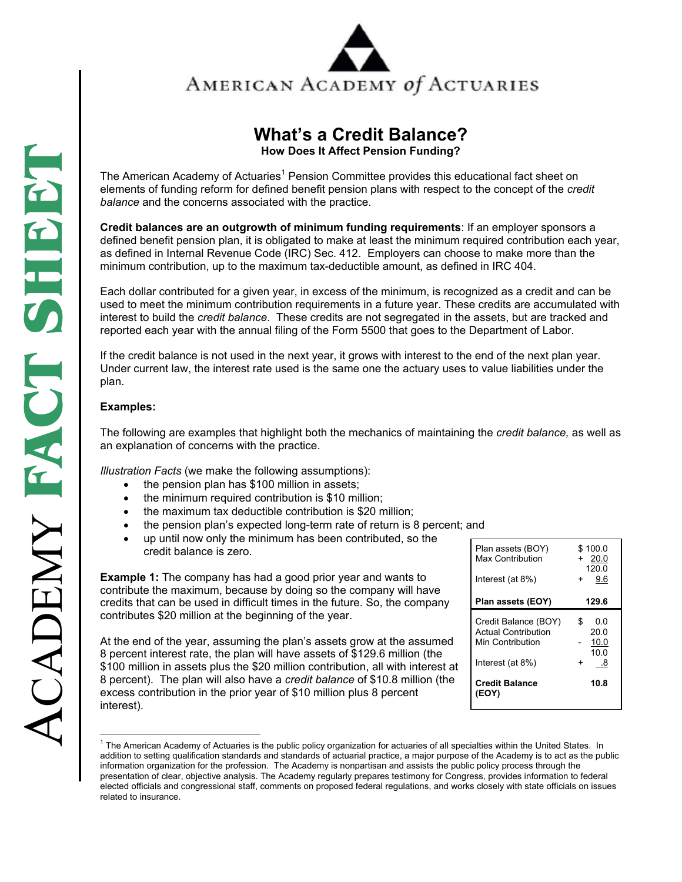

## **What's a Credit Balance?**

**How Does It Affect Pension Funding?** 

The American Academy of Actuaries<sup>1</sup> Pension Committee provides this educational fact sheet on elements of funding reform for defined benefit pension plans with respect to the concept of the *credit balance* and the concerns associated with the practice.

**Credit balances are an outgrowth of minimum funding requirements**: If an employer sponsors a defined benefit pension plan, it is obligated to make at least the minimum required contribution each year, as defined in Internal Revenue Code (IRC) Sec. 412. Employers can choose to make more than the minimum contribution, up to the maximum tax-deductible amount, as defined in IRC 404.

Each dollar contributed for a given year, in excess of the minimum, is recognized as a credit and can be used to meet the minimum contribution requirements in a future year. These credits are accumulated with interest to build the *credit balance*. These credits are not segregated in the assets, but are tracked and reported each year with the annual filing of the Form 5500 that goes to the Department of Labor.

If the credit balance is not used in the next year, it grows with interest to the end of the next plan year. Under current law, the interest rate used is the same one the actuary uses to value liabilities under the plan.

## **Examples:**

 $\overline{a}$ 

The following are examples that highlight both the mechanics of maintaining the *credit balance,* as well as an explanation of concerns with the practice.

*Illustration Facts* (we make the following assumptions):

- the pension plan has \$100 million in assets;
- the minimum required contribution is \$10 million;
- the maximum tax deductible contribution is \$20 million;
- the pension plan's expected long-term rate of return is 8 percent; and
- up until now only the minimum has been contributed, so the credit balance is zero.

**Example 1:** The company has had a good prior year and wants to contribute the maximum, because by doing so the company will have credits that can be used in difficult times in the future. So, the company contributes \$20 million at the beginning of the year.

At the end of the year, assuming the plan's assets grow at the assumed 8 percent interest rate, the plan will have assets of \$129.6 million (the \$100 million in assets plus the \$20 million contribution, all with interest at 8 percent). The plan will also have a *credit balance* of \$10.8 million (the excess contribution in the prior year of \$10 million plus 8 percent interest).

| Plan assets (BOY)<br>Max Contribution                                                      | \$100.0<br>20.0<br>+<br>120.0                       |
|--------------------------------------------------------------------------------------------|-----------------------------------------------------|
| Interest (at 8%)                                                                           | 9.6<br>$+$                                          |
| Plan assets (EOY)                                                                          | 129.6                                               |
| Credit Balance (BOY)<br><b>Actual Contribution</b><br>Min Contribution<br>Interest (at 8%) | 0.0<br>S<br>20.0<br>10.0<br>10.0<br>.8<br>$\ddot{}$ |
| <b>Credit Balance</b><br>(EOY)                                                             | 10.8                                                |

<sup>&</sup>lt;sup>1</sup> The American Academy of Actuaries is the public policy organization for actuaries of all specialties within the United States. In addition to setting qualification standards and standards of actuarial practice, a major purpose of the Academy is to act as the public information organization for the profession. The Academy is nonpartisan and assists the public policy process through the presentation of clear, objective analysis. The Academy regularly prepares testimony for Congress, provides information to federal elected officials and congressional staff, comments on proposed federal regulations, and works closely with state officials on issues related to insurance.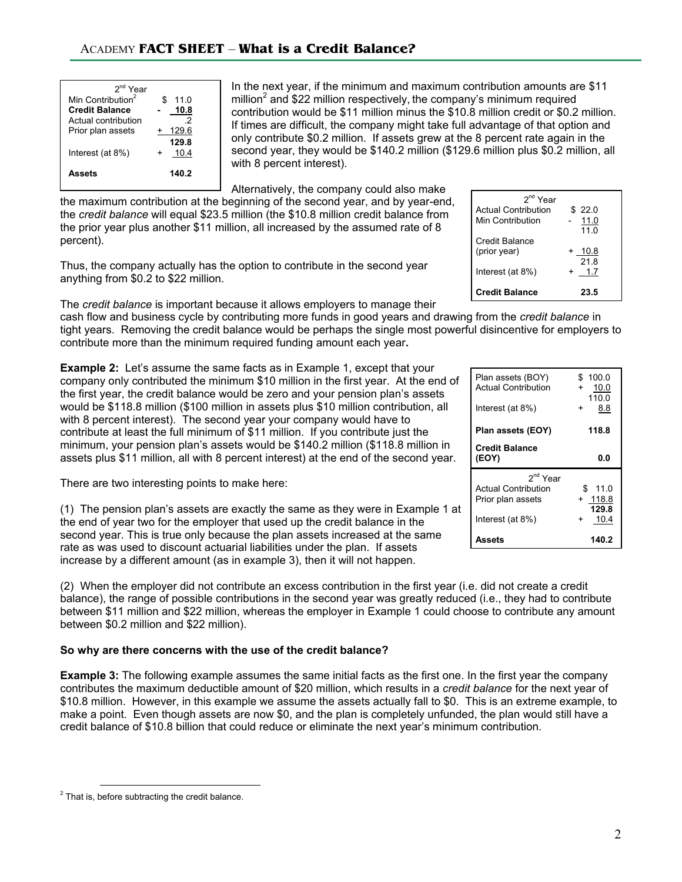| 2 <sup>nd</sup> Year<br>Min Contribution <sup>2</sup><br><b>Credit Balance</b><br>Actual contribution<br>Prior plan assets | 11.0<br>10.8<br>2<br>129.6<br>129.8 |
|----------------------------------------------------------------------------------------------------------------------------|-------------------------------------|
| Interest (at 8%)                                                                                                           | 10.4                                |
| Assets                                                                                                                     | 140.2                               |

In the next year, if the minimum and maximum contribution amounts are \$11 million<sup>2</sup> and \$22 million respectively, the company's minimum required contribution would be \$11 million minus the \$10.8 million credit or \$0.2 million. If times are difficult, the company might take full advantage of that option and only contribute \$0.2 million. If assets grew at the 8 percent rate again in the second year, they would be \$140.2 million (\$129.6 million plus \$0.2 million, all with 8 percent interest).

Alternatively, the company could also make

the maximum contribution at the beginning of the second year, and by year-end, the *credit balance* will equal \$23.5 million (the \$10.8 million credit balance from the prior year plus another \$11 million, all increased by the assumed rate of 8 percent).

Thus, the company actually has the option to contribute in the second year anything from \$0.2 to \$22 million.

The *credit balance* is important because it allows employers to manage their

cash flow and business cycle by contributing more funds in good years and drawing from the *credit balance* in tight years. Removing the credit balance would be perhaps the single most powerful disincentive for employers to contribute more than the minimum required funding amount each year**.** 

**Example 2:** Let's assume the same facts as in Example 1, except that company only contributed the minimum \$10 million in the first year. At the first year, the credit balance would be zero and your pension plan's would be \$118.8 million (\$100 million in assets plus \$10 million contribution. with 8 percent interest). The second year your company would have to contribute at least the full minimum of \$11 million. If you contribute just the minimum, your pension plan's assets would be \$140.2 million (\$118.8 million in assets plus \$11 million, all with 8 percent interest) at the end of the second year.

There are two interesting points to make here:

(1) The pension plan's assets are exactly the same as they were in Example 1 at the end of year two for the employer that used up the credit balance in the second year. This is true only because the plan assets increased at the same rate as was used to discount actuarial liabilities under the plan. If assets increase by a different amount (as in example 3), then it will not happen.

(2) When the employer did not contribute an excess contribution in the first year (i.e. did not create a credit balance), the range of possible contributions in the second year was greatly reduced (i.e., they had to contribute between \$11 million and \$22 million, whereas the employer in Example 1 could choose to contribute any amount between \$0.2 million and \$22 million).

## **So why are there concerns with the use of the credit balance?**

**Example 3:** The following example assumes the same initial facts as the first one. In the first year the company contributes the maximum deductible amount of \$20 million, which results in a *credit balance* for the next year of \$10.8 million. However, in this example we assume the assets actually fall to \$0. This is an extreme example, to make a point. Even though assets are now \$0, and the plan is completely unfunded, the plan would still have a credit balance of \$10.8 billion that could reduce or eliminate the next year's minimum contribution.

| : vour<br>the end of | Plan assets (BOY)          | \$100.0 |
|----------------------|----------------------------|---------|
|                      | <b>Actual Contribution</b> | 10.0    |
| assets               |                            | 110.0   |
| ution, all           | Interest (at 8%)           | 8.8     |
|                      |                            |         |
| $+thc$               | Plan assets (FOY)          | 118 R   |

| Actual Continuution        | ט.ט<br>110.0       |
|----------------------------|--------------------|
| Interest (at 8%)           | 8.8<br>+           |
| Plan assets (EOY)          | 118.8              |
| <b>Credit Balance</b>      |                    |
| (EOY)                      | 0.0                |
|                            |                    |
| 2 <sup>nd</sup> Year       |                    |
| <b>Actual Contribution</b> | \$<br>11.0         |
| Prior plan assets          | + 118.8            |
| Interest (at 8%)           | 129.8<br>10.4<br>+ |

2<sup>nd</sup> Year Actual Contribution \$ 22.0 Min Contribution - 11.0

Interest (at  $8\%$ )  $+ 1.7$ 

Credit Balance (prior year)

**Credit Balance** 

 $11.0$ 

 **23.5**

 + 10.8 21.8

 $\frac{2}{1}$  That is, before subtracting the credit balance.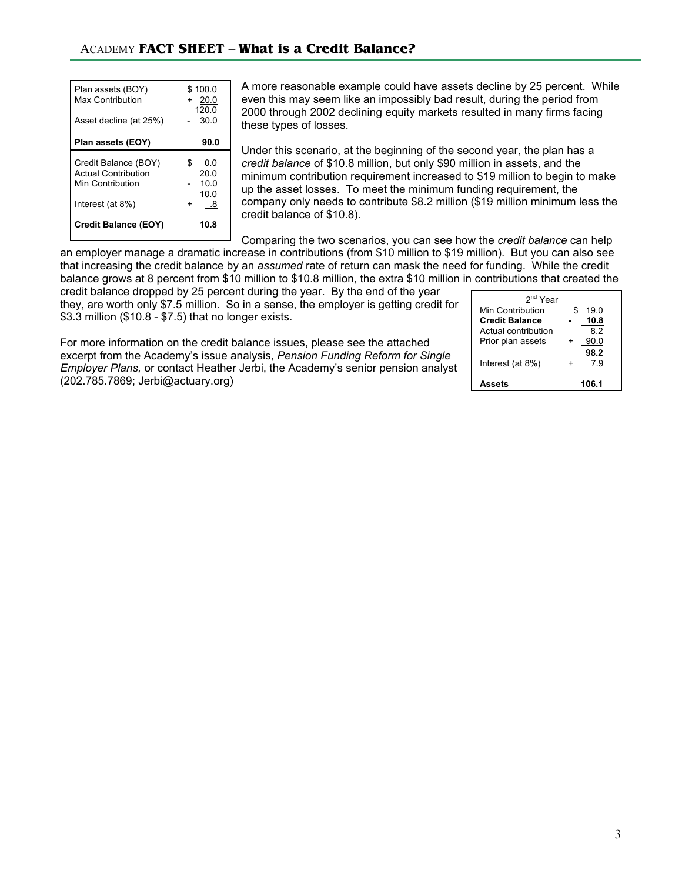| Plan assets (BOY)<br>Max Contribution<br>Asset decline (at 25%)                            | \$100.0<br>20.0<br>$+$<br>120.0<br>30.0  |
|--------------------------------------------------------------------------------------------|------------------------------------------|
| Plan assets (EOY)                                                                          | 90.0                                     |
| Credit Balance (BOY)<br><b>Actual Contribution</b><br>Min Contribution<br>Interest (at 8%) | \$.<br>ი ი<br>20.0<br>10.0<br>10.0<br>.8 |
| <b>Credit Balance (EOY)</b>                                                                | 10.8                                     |

A more reasonable example could have assets decline by 25 percent. While even this may seem like an impossibly bad result, during the period from 2000 through 2002 declining equity markets resulted in many firms facing these types of losses.

Under this scenario, at the beginning of the second year, the plan has a *credit balance* of \$10.8 million, but only \$90 million in assets, and the minimum contribution requirement increased to \$19 million to begin to make up the asset losses. To meet the minimum funding requirement, the company only needs to contribute \$8.2 million (\$19 million minimum less the credit balance of \$10.8).

Comparing the two scenarios, you can see how the *credit balance* can help an employer manage a dramatic increase in contributions (from \$10 million to \$19 million). But you can also see that increasing the credit balance by an *assumed* rate of return can mask the need for funding. While the credit balance grows at 8 percent from \$10 million to \$10.8 million, the extra \$10 million in contributions that created the

credit balance dropped by 25 percent during the year. By the end of the year they, are worth only \$7.5 million. So in a sense, the employer is getting credit for \$3.3 million (\$10.8 - \$7.5) that no longer exists.

For more information on the credit balance issues, please see the attached excerpt from the Academy's issue analysis, *Pension Funding Reform for Single Employer Plans,* or contact Heather Jerbi, the Academy's senior pension analyst (202.785.7869; Jerbi@actuary.org)

| $2nd$ Year            |            |
|-----------------------|------------|
| Min Contribution      | \$<br>19 በ |
| <b>Credit Balance</b> | 10.8       |
| Actual contribution   | 82         |
| Prior plan assets     | 90.0       |
|                       | 98.2       |
| Interest (at 8%)      | 7.9        |
|                       |            |
| atesa                 | 1061       |